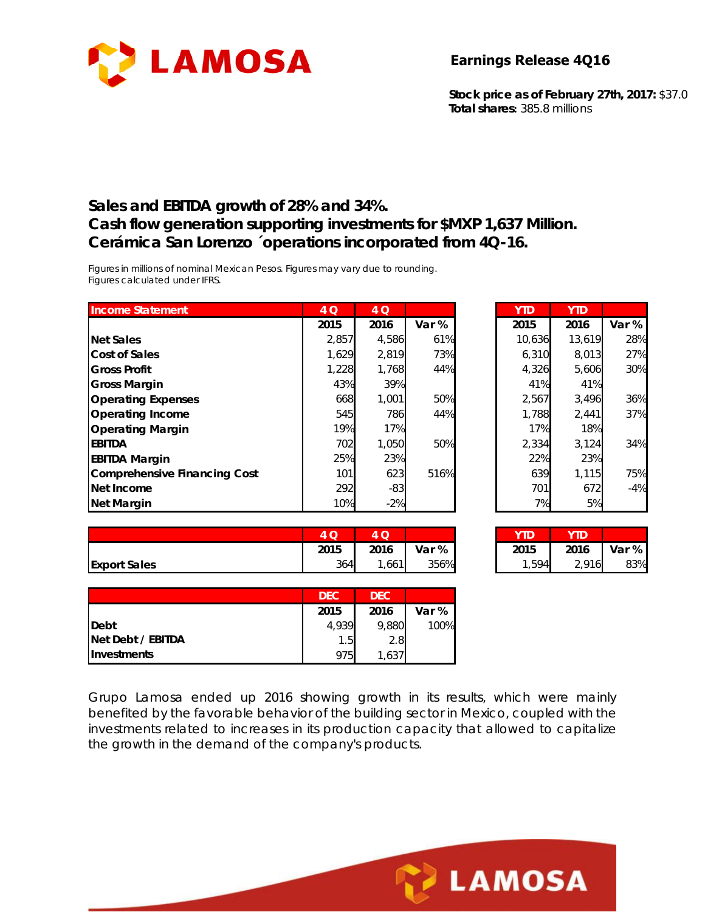

**Stock price as of February 27th, 2017:** \$37.0 **Total shares:** 385.8 millions

#### **Sales and EBITDA growth of 28% and 34%. Cash flow generation supporting investments for \$MXP 1,637 Million. Cerámica San Lorenzo ´operations incorporated from 4Q-16.**

*Figures in millions of nominal Mexican Pesos. Figures may vary due to rounding. Figures calculated under IFRS.* 

| <b>Income Statement</b>      | 4 Q   | 4 Q   |       | <b>YTD</b> | <b>YTD</b> |       |
|------------------------------|-------|-------|-------|------------|------------|-------|
|                              | 2015  | 2016  | Var % | 2015       | 2016       | Var % |
| <b>Net Sales</b>             | 2,857 | 4,586 | 61%   | 10,636     | 13,619     | 28%   |
| Cost of Sales                | 1.629 | 2,819 | 73%   | 6.310      | 8,013      | 27%   |
| <b>Gross Profit</b>          | 1,228 | 1,768 | 44%   | 4,326      | 5,606      | 30%   |
| <b>Gross Margin</b>          | 43%   | 39%   |       | 41%        | 41%        |       |
| <b>Operating Expenses</b>    | 668   | 1,001 | 50%   | 2,567      | 3,496      | 36%   |
| <b>Operating Income</b>      | 545   | 786   | 44%   | 1,788      | 2,441      | 37%   |
| <b>Operating Margin</b>      | 19%   | 17%   |       | 17%        | 18%        |       |
| <b>EBITDA</b>                | 702   | 1,050 | 50%   | 2,334      | 3,124      | 34%   |
| <b>EBITDA Margin</b>         | 25%   | 23%   |       | 22%        | 23%        |       |
| Comprehensive Financing Cost | 101   | 623   | 516%  | 639        | 1,115      | 75%   |
| Net Income                   | 292   | $-83$ |       | 701        | 672        | $-4%$ |
| Net Margin                   | 10%   | $-2%$ |       | 7%         | 5%         |       |

| 4 Q   | 4 Q   |       | <b>YTD</b> | <b>YTD</b> |       |
|-------|-------|-------|------------|------------|-------|
| 2015  | 2016  | Var % | 2015       | 2016       | Var % |
| 2,857 | 4,586 | 61%   | 10,636     | 13,619     | 28%   |
| 1,629 | 2,819 | 73%   | 6,310      | 8,013      | 27%   |
| 1,228 | 1,768 | 44%   | 4,326      | 5,606      | 30%   |
| 43%   | 39%   |       | 41%        | 41%        |       |
| 668   | 1,001 | 50%   | 2,567      | 3,496      | 36%   |
| 545   | 786   | 44%   | 1,788      | 2,441      | 37%   |
| 19%   | 17%   |       | 17%        | 18%        |       |
| 702   | 1,050 | 50%   | 2,334      | 3,124      | 34%   |
| 25%   | 23%   |       | 22%        | 23%        |       |
| 101   | 623   | 516%  | 639        | 1,115      | 75%   |
| 292   | $-83$ |       | 701        | 672        | $-4%$ |
| 10%   | $-2%$ |       | 7%         | 5%         |       |

|                     | $\sim$<br>ду<br>$\sim$ | ⌒<br>$\tilde{\phantom{a}}$ |       | vtn       | YTD   |       |
|---------------------|------------------------|----------------------------|-------|-----------|-------|-------|
|                     | 2015                   | 2016                       | Var % | 2015      | 2016  | Var % |
| <b>Export Sales</b> | 364                    | ,661                       | 356%  | ,594<br>◢ | 2,916 | 83%   |

| 4 O  |       |       |       | YTD   |       |
|------|-------|-------|-------|-------|-------|
| 2015 | 2016  | Var % | 2015  | 2016  | Var % |
| 364  | 1,661 | 356%  | 1,594 | 2.916 | 83%   |

|                    | <b>DEC</b> | D <sub>FC</sub> |       |
|--------------------|------------|-----------------|-------|
|                    | 2015       | 2016            | Var % |
| <b>IDebt</b>       | 4,939      | 9,880           | 100%  |
| Net Debt / EBITDA  | 1.51       | 2.8             |       |
| <b>Investments</b> | 975        | 537 ،           |       |

Grupo Lamosa ended up 2016 showing growth in its results, which were mainly benefited by the favorable behavior of the building sector in Mexico, coupled with the investments related to increases in its production capacity that allowed to capitalize the growth in the demand of the company's products.

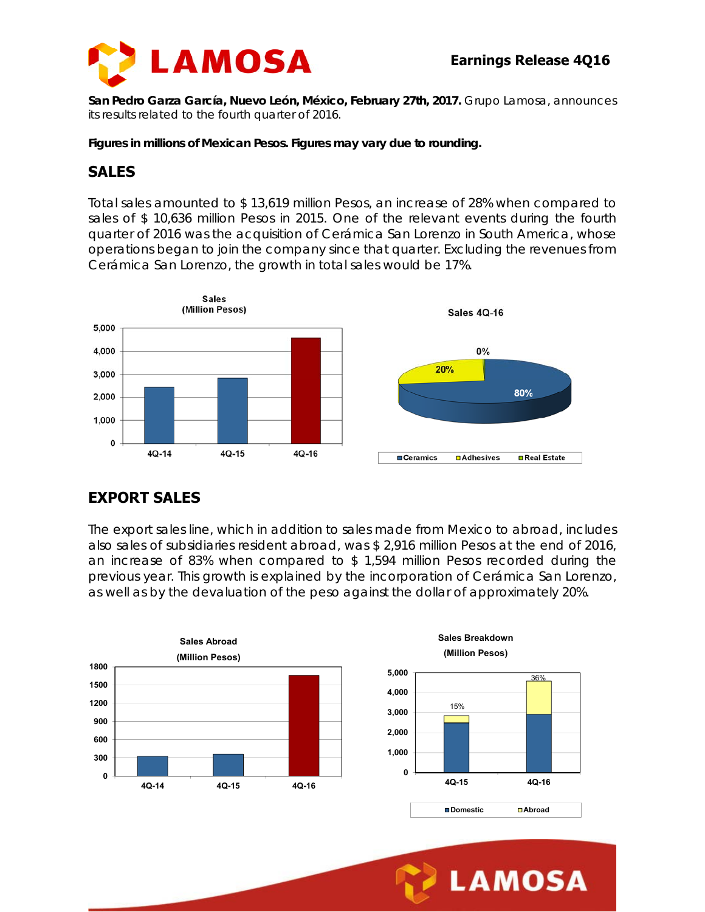

**San Pedro Garza García, Nuevo León, México, February 27th, 2017.** Grupo Lamosa, announces its results related to the fourth quarter of 2016.

*Figures in millions of Mexican Pesos. Figures may vary due to rounding.* 

#### **SALES**

Total sales amounted to \$ 13,619 million Pesos, an increase of 28% when compared to sales of \$ 10,636 million Pesos in 2015. One of the relevant events during the fourth quarter of 2016 was the acquisition of Cerámica San Lorenzo in South America, whose operations began to join the company since that quarter. Excluding the revenues from Cerámica San Lorenzo, the growth in total sales would be 17%.



# **EXPORT SALES**

The export sales line, which in addition to sales made from Mexico to abroad, includes also sales of subsidiaries resident abroad, was \$ 2,916 million Pesos at the end of 2016, an increase of 83% when compared to \$ 1,594 million Pesos recorded during the previous year. This growth is explained by the incorporation of Cerámica San Lorenzo, as well as by the devaluation of the peso against the dollar of approximately 20%.



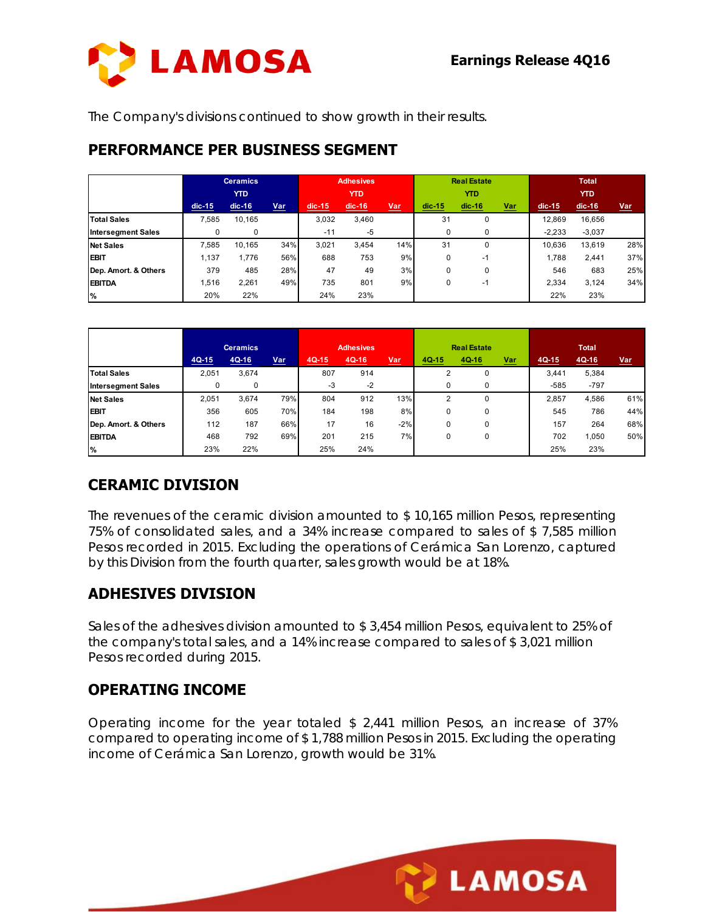

The Company's divisions continued to show growth in their results.

#### **PERFORMANCE PER BUSINESS SEGMENT**

|                           | <b>Ceramics</b> |          |     | <b>Adhesives</b> |          |            | <b>Real Estate</b> |          |            | <b>Total</b> |          |            |
|---------------------------|-----------------|----------|-----|------------------|----------|------------|--------------------|----------|------------|--------------|----------|------------|
|                           | <b>YTD</b>      |          |     | <b>YTD</b>       |          |            | <b>YTD</b>         |          |            | <b>YTD</b>   |          |            |
|                           | $dic-15$        | $dic-16$ | Var | $dic-15$         | $dic-16$ | <u>Var</u> | $dic-15$           | $dic-16$ | <u>Var</u> | $dic-15$     | $dic-16$ | <u>Var</u> |
| <b>Total Sales</b>        | 7.585           | 10,165   |     | 3.032            | 3,460    |            | 31                 | 0        |            | 12,869       | 16,656   |            |
| <b>Intersegment Sales</b> | 0               | 0        |     | $-11$            | $-5$     |            | 0                  | 0        |            | $-2.233$     | $-3,037$ |            |
| <b>Net Sales</b>          | 7.585           | 10,165   | 34% | 3.021            | 3,454    | 14%        | 31                 | $\Omega$ |            | 10.636       | 13,619   | 28%        |
| <b>EBIT</b>               | 1,137           | .776     | 56% | 688              | 753      | 9%         | 0                  | $-1$     |            | 1.788        | 2,441    | 37%        |
| Dep. Amort. & Others      | 379             | 485      | 28% | 47               | 49       | 3%         | 0                  | 0        |            | 546          | 683      | 25%        |
| <b>EBITDA</b>             | 1.516           | 2.261    | 49% | 735              | 801      | 9%         | 0                  | -1       |            | 2.334        | 3,124    | 34%        |
| $\frac{9}{6}$             | 20%             | 22%      |     | 24%              | 23%      |            |                    |          |            | 22%          | 23%      |            |

|                           | <b>Ceramics</b> |         | <b>Adhesives</b> |         |         | <b>Real Estate</b> |       |          | <b>Total</b> |         |        |            |
|---------------------------|-----------------|---------|------------------|---------|---------|--------------------|-------|----------|--------------|---------|--------|------------|
|                           | $4Q-15$         | $4Q-16$ | <u>Var</u>       | $4Q-15$ | $4Q-16$ | Var                | 4Q-15 | 4Q-16    | <u>Var</u>   | $4Q-15$ | 4Q-16  | <u>Var</u> |
| <b>Total Sales</b>        | 2.051           | 3.674   |                  | 807     | 914     |                    | 2     | 0        |              | 3.441   | 5.384  |            |
| <b>Intersegment Sales</b> |                 | 0       |                  | -3      | $-2$    |                    | 0     | $\Omega$ |              | $-585$  | $-797$ |            |
| <b>Net Sales</b>          | 2.051           | 3.674   | 79%              | 804     | 912     | 13%                | 2     | 0        |              | 2.857   | 4,586  | 61%        |
| <b>EBIT</b>               | 356             | 605     | 70%              | 184     | 198     | 8%                 | 0     | 0        |              | 545     | 786    | 44%        |
| Dep. Amort. & Others      | 112             | 187     | 66%              | 17      | 16      | $-2%$              | 0     | $\Omega$ |              | 157     | 264    | 68%        |
| <b>EBITDA</b>             | 468             | 792     | 69%              | 201     | 215     | 7%                 | 0     | 0        |              | 702     | 1.050  | 50%        |
| %                         | 23%             | 22%     |                  | 25%     | 24%     |                    |       |          |              | 25%     | 23%    |            |

### **CERAMIC DIVISION**

The revenues of the ceramic division amounted to \$ 10,165 million Pesos, representing 75% of consolidated sales, and a 34% increase compared to sales of \$ 7,585 million Pesos recorded in 2015. Excluding the operations of Cerámica San Lorenzo, captured by this Division from the fourth quarter, sales growth would be at 18%.

# **ADHESIVES DIVISION**

Sales of the adhesives division amounted to \$ 3,454 million Pesos, equivalent to 25% of the company's total sales, and a 14% increase compared to sales of \$ 3,021 million Pesos recorded during 2015.

### **OPERATING INCOME**

Operating income for the year totaled \$ 2,441 million Pesos, an increase of 37% compared to operating income of \$ 1,788 million Pesos in 2015. Excluding the operating income of Cerámica San Lorenzo, growth would be 31%.

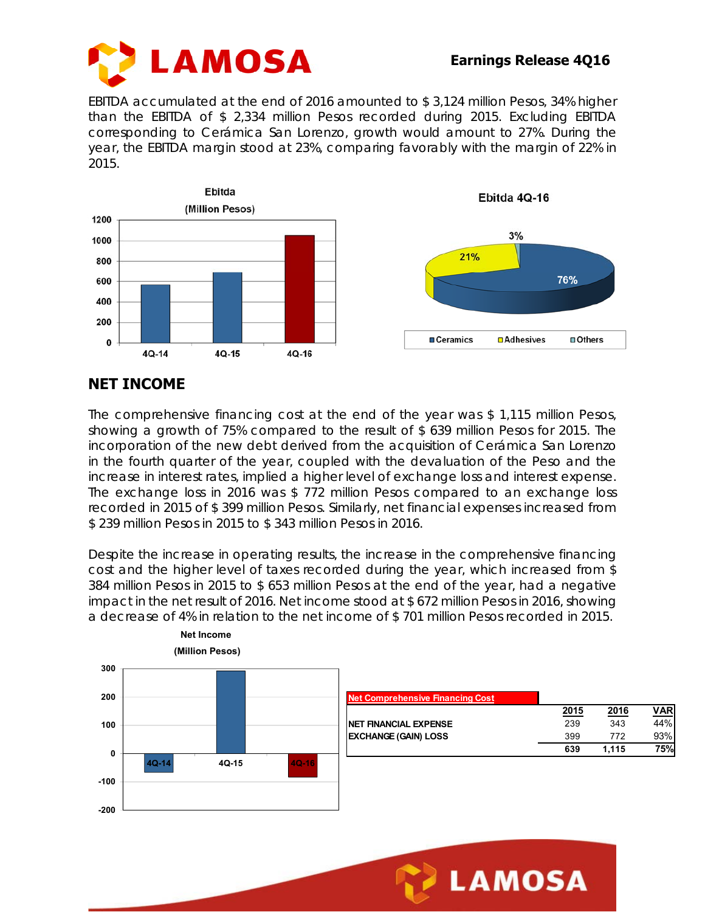

EBITDA accumulated at the end of 2016 amounted to \$ 3,124 million Pesos, 34% higher than the EBITDA of \$ 2,334 million Pesos recorded during 2015. Excluding EBITDA corresponding to Cerámica San Lorenzo, growth would amount to 27%. During the year, the EBITDA margin stood at 23%, comparing favorably with the margin of 22% in 2015.



## **NET INCOME**

The comprehensive financing cost at the end of the year was \$ 1,115 million Pesos, showing a growth of 75% compared to the result of \$ 639 million Pesos for 2015. The incorporation of the new debt derived from the acquisition of Cerámica San Lorenzo in the fourth quarter of the year, coupled with the devaluation of the Peso and the increase in interest rates, implied a higher level of exchange loss and interest expense. The exchange loss in 2016 was \$ 772 million Pesos compared to an exchange loss recorded in 2015 of \$ 399 million Pesos. Similarly, net financial expenses increased from \$ 239 million Pesos in 2015 to \$ 343 million Pesos in 2016.

Despite the increase in operating results, the increase in the comprehensive financing cost and the higher level of taxes recorded during the year, which increased from \$ 384 million Pesos in 2015 to \$ 653 million Pesos at the end of the year, had a negative impact in the net result of 2016. Net income stood at \$ 672 million Pesos in 2016, showing a decrease of 4% in relation to the net income of \$ 701 million Pesos recorded in 2015.



**LAMOSA**